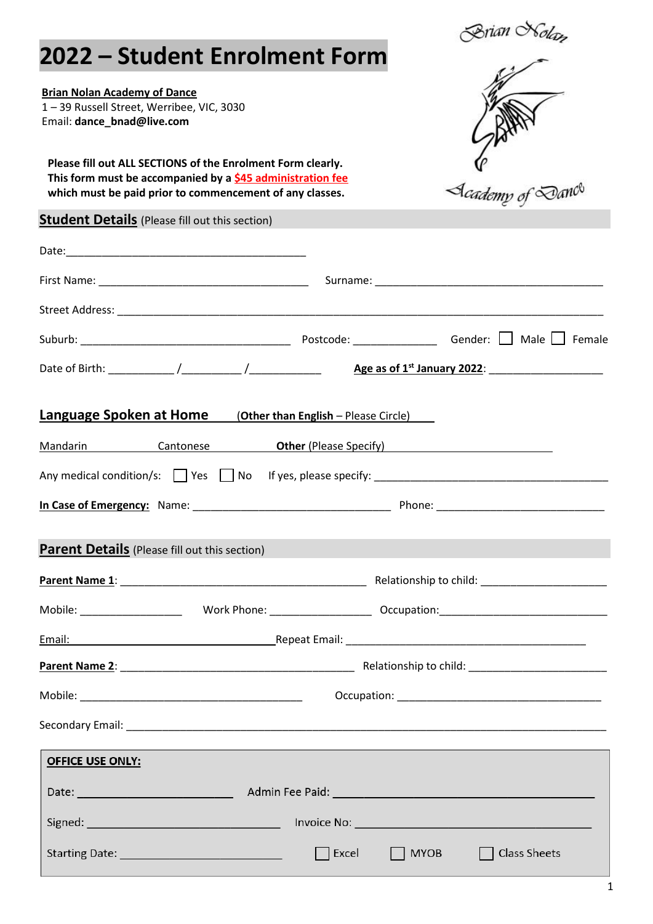| 2022 - Student Enrolment Form                                                                                                                                                         |                                      |                            |             | Brian Nolam<br>—                                                                                                                                                                                                               |
|---------------------------------------------------------------------------------------------------------------------------------------------------------------------------------------|--------------------------------------|----------------------------|-------------|--------------------------------------------------------------------------------------------------------------------------------------------------------------------------------------------------------------------------------|
| <b>Brian Nolan Academy of Dance</b><br>1-39 Russell Street, Werribee, VIC, 3030<br>Email: dance_bnad@live.com                                                                         |                                      |                            |             |                                                                                                                                                                                                                                |
| Please fill out ALL SECTIONS of the Enrolment Form clearly.<br>This form must be accompanied by a \$45 administration fee<br>which must be paid prior to commencement of any classes. |                                      |                            |             | C<br>A <i>cademy of Da</i> nc <sup>e</sup>                                                                                                                                                                                     |
| <b>Student Details</b> (Please fill out this section)                                                                                                                                 |                                      |                            |             |                                                                                                                                                                                                                                |
|                                                                                                                                                                                       |                                      |                            |             |                                                                                                                                                                                                                                |
|                                                                                                                                                                                       |                                      |                            |             | Surname: North and Surname and Surname and Surname and Surname and Surname and Surname and Surname and Surname and Surname and Surname and Surname and Surname and Surname and Surname and Surname and Surname and Surname and |
|                                                                                                                                                                                       |                                      |                            |             |                                                                                                                                                                                                                                |
|                                                                                                                                                                                       |                                      |                            |             |                                                                                                                                                                                                                                |
|                                                                                                                                                                                       |                                      |                            |             |                                                                                                                                                                                                                                |
| <u>Language Spoken at Home</u><br>Mandarin Cantonese <b>Other (Please Specify)</b>                                                                                                    | (Other than English - Please Circle) |                            |             |                                                                                                                                                                                                                                |
|                                                                                                                                                                                       |                                      |                            |             |                                                                                                                                                                                                                                |
| In Case of Emergency: Name:                                                                                                                                                           |                                      |                            | Phone:      |                                                                                                                                                                                                                                |
| <b>Parent Details</b> (Please fill out this section)                                                                                                                                  |                                      |                            |             |                                                                                                                                                                                                                                |
|                                                                                                                                                                                       |                                      |                            |             |                                                                                                                                                                                                                                |
|                                                                                                                                                                                       |                                      |                            |             |                                                                                                                                                                                                                                |
| Email:                                                                                                                                                                                |                                      |                            |             |                                                                                                                                                                                                                                |
|                                                                                                                                                                                       |                                      |                            |             |                                                                                                                                                                                                                                |
|                                                                                                                                                                                       |                                      |                            |             |                                                                                                                                                                                                                                |
|                                                                                                                                                                                       |                                      |                            |             |                                                                                                                                                                                                                                |
| <b>OFFICE USE ONLY:</b>                                                                                                                                                               |                                      |                            |             |                                                                                                                                                                                                                                |
|                                                                                                                                                                                       |                                      |                            |             |                                                                                                                                                                                                                                |
|                                                                                                                                                                                       |                                      |                            |             |                                                                                                                                                                                                                                |
|                                                                                                                                                                                       |                                      | $\sqrt{\frac{1}{2}}$ Excel | <b>MYOB</b> | Class Sheets                                                                                                                                                                                                                   |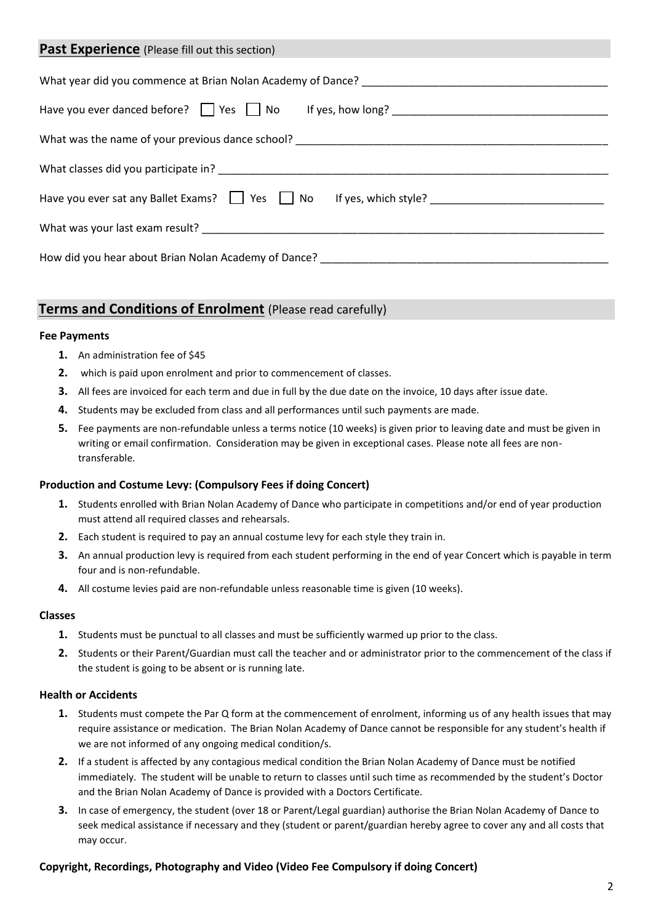| <b>Past Experience</b> (Please fill out this section)                                                                |  |  |  |  |
|----------------------------------------------------------------------------------------------------------------------|--|--|--|--|
|                                                                                                                      |  |  |  |  |
| Have you ever danced before? Thes Theory No Hillyes, how long? The May 2011 Contract to the May 2012 Model in the Ma |  |  |  |  |
| What was the name of your previous dance school? _______________________________                                     |  |  |  |  |
|                                                                                                                      |  |  |  |  |
|                                                                                                                      |  |  |  |  |
|                                                                                                                      |  |  |  |  |
| How did you hear about Brian Nolan Academy of Dance?                                                                 |  |  |  |  |

# **Terms and Conditions of Enrolment** (Please read carefully)

#### **Fee Payments**

- **1.** An administration fee of \$45
- **2.** which is paid upon enrolment and prior to commencement of classes.
- **3.** All fees are invoiced for each term and due in full by the due date on the invoice, 10 days after issue date.
- **4.** Students may be excluded from class and all performances until such payments are made.
- **5.** Fee payments are non-refundable unless a terms notice (10 weeks) is given prior to leaving date and must be given in writing or email confirmation. Consideration may be given in exceptional cases. Please note all fees are nontransferable.

## **Production and Costume Levy: (Compulsory Fees if doing Concert)**

- **1.** Students enrolled with Brian Nolan Academy of Dance who participate in competitions and/or end of year production must attend all required classes and rehearsals.
- **2.** Each student is required to pay an annual costume levy for each style they train in.
- **3.** An annual production levy is required from each student performing in the end of year Concert which is payable in term four and is non-refundable.
- **4.** All costume levies paid are non-refundable unless reasonable time is given (10 weeks).

#### **Classes**

- **1.** Students must be punctual to all classes and must be sufficiently warmed up prior to the class.
- **2.** Students or their Parent/Guardian must call the teacher and or administrator prior to the commencement of the class if the student is going to be absent or is running late.

#### **Health or Accidents**

- **1.** Students must compete the Par Q form at the commencement of enrolment, informing us of any health issues that may require assistance or medication. The Brian Nolan Academy of Dance cannot be responsible for any student's health if we are not informed of any ongoing medical condition/s.
- **2.** If a student is affected by any contagious medical condition the Brian Nolan Academy of Dance must be notified immediately. The student will be unable to return to classes until such time as recommended by the student's Doctor and the Brian Nolan Academy of Dance is provided with a Doctors Certificate.
- **3.** In case of emergency, the student (over 18 or Parent/Legal guardian) authorise the Brian Nolan Academy of Dance to seek medical assistance if necessary and they (student or parent/guardian hereby agree to cover any and all costs that may occur.

## **Copyright, Recordings, Photography and Video (Video Fee Compulsory if doing Concert)**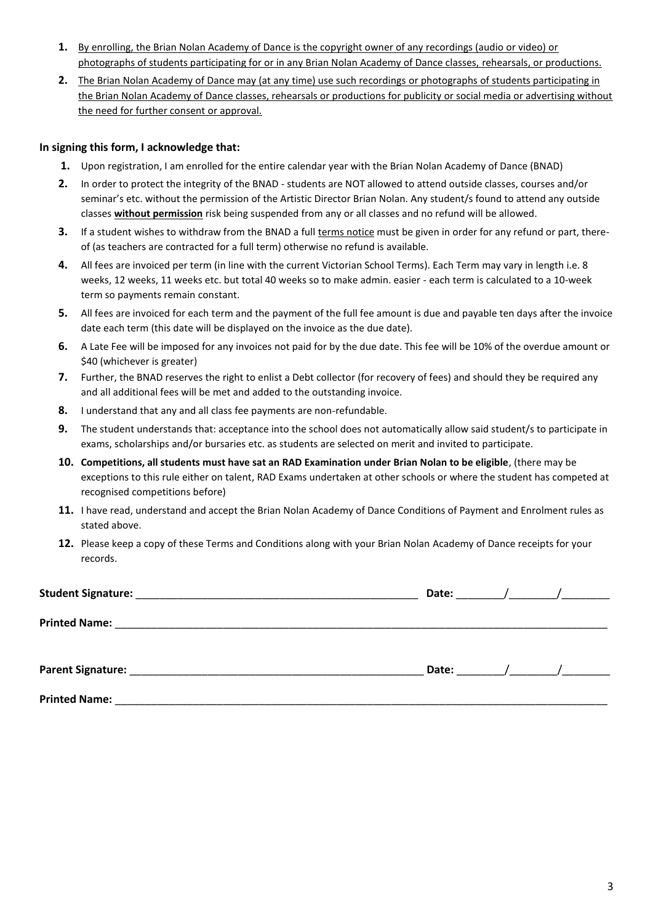- **1.** By enrolling, the Brian Nolan Academy of Dance is the copyright owner of any recordings (audio or video) or photographs of students participating for or in any Brian Nolan Academy of Dance classes, rehearsals, or productions.
- **2.** The Brian Nolan Academy of Dance may (at any time) use such recordings or photographs of students participating in the Brian Nolan Academy of Dance classes, rehearsals or productions for publicity or social media or advertising without the need for further consent or approval.

## **In signing this form, I acknowledge that:**

- **1.** Upon registration, I am enrolled for the entire calendar year with the Brian Nolan Academy of Dance (BNAD)
- **2.** In order to protect the integrity of the BNAD students are NOT allowed to attend outside classes, courses and/or seminar's etc. without the permission of the Artistic Director Brian Nolan. Any student/s found to attend any outside classes **without permission** risk being suspended from any or all classes and no refund will be allowed.
- **3.** If a student wishes to withdraw from the BNAD a full terms notice must be given in order for any refund or part, thereof (as teachers are contracted for a full term) otherwise no refund is available.
- **4.** All fees are invoiced per term (in line with the current Victorian School Terms). Each Term may vary in length i.e. 8 weeks, 12 weeks, 11 weeks etc. but total 40 weeks so to make admin. easier - each term is calculated to a 10-week term so payments remain constant.
- **5.** All fees are invoiced for each term and the payment of the full fee amount is due and payable ten days after the invoice date each term (this date will be displayed on the invoice as the due date).
- **6.** A Late Fee will be imposed for any invoices not paid for by the due date. This fee will be 10% of the overdue amount or \$40 (whichever is greater)
- **7.** Further, the BNAD reserves the right to enlist a Debt collector (for recovery of fees) and should they be required any and all additional fees will be met and added to the outstanding invoice.
- **8.** I understand that any and all class fee payments are non-refundable.
- **9.** The student understands that: acceptance into the school does not automatically allow said student/s to participate in exams, scholarships and/or bursaries etc. as students are selected on merit and invited to participate.
- **10. Competitions, all students must have sat an RAD Examination under Brian Nolan to be eligible**, (there may be exceptions to this rule either on talent, RAD Exams undertaken at other schools or where the student has competed at recognised competitions before)
- **11.** I have read, understand and accept the Brian Nolan Academy of Dance Conditions of Payment and Enrolment rules as stated above.
- **12.** Please keep a copy of these Terms and Conditions along with your Brian Nolan Academy of Dance receipts for your records.

| <b>Student Signature:</b><br><u> 1980 - Johann Stein, Amerikaansk politiker († 1908)</u>                                                      | Date: | $\sqrt{2}$ |  |
|-----------------------------------------------------------------------------------------------------------------------------------------------|-------|------------|--|
| <b>Printed Name:</b><br><u> 1980 - Jan James Santan, masjid a shekara ta 1980 a shekara ta 1980 a shekara ta 1980 a shekara ta 1980 a she</u> |       |            |  |
|                                                                                                                                               |       |            |  |
|                                                                                                                                               | Date: | $\sqrt{2}$ |  |
| <b>Printed Name:</b>                                                                                                                          |       |            |  |